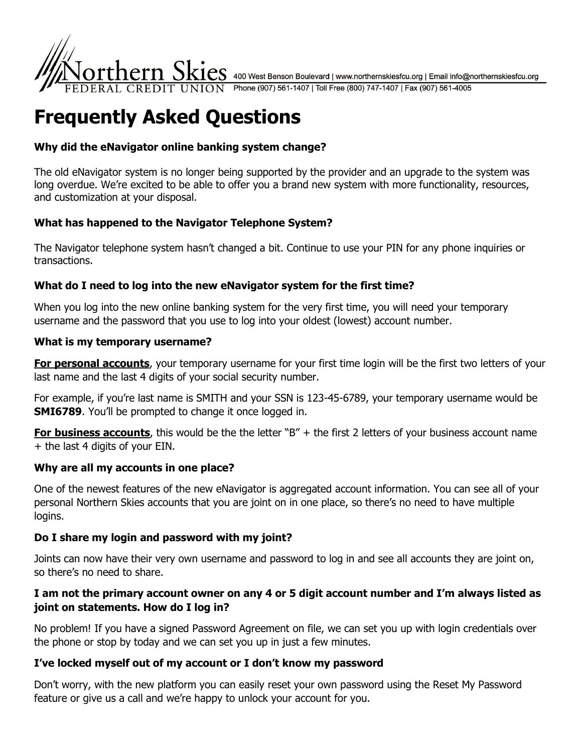

 $\cdot$ t ${\rm hern~Skics}$  400 West Benson Boulevard | www.northernskiesfcu.org | Email info@northernskiesfcu.org  $\sqrt{10}$  Phone (907) 561-1407 | Toll Free (800) 747-1407 | Fax (907) 561-4005

# **Frequently Asked Questions**

# **Why did the eNavigator online banking system change?**

The old eNavigator system is no longer being supported by the provider and an upgrade to the system was long overdue. We're excited to be able to offer you a brand new system with more functionality, resources, and customization at your disposal.

# **What has happened to the Navigator Telephone System?**

The Navigator telephone system hasn't changed a bit. Continue to use your PIN for any phone inquiries or transactions.

# **What do I need to log into the new eNavigator system for the first time?**

When you log into the new online banking system for the very first time, you will need your temporary username and the password that you use to log into your oldest (lowest) account number.

#### **What is my temporary username?**

**For personal accounts**, your temporary username for your first time login will be the first two letters of your last name and the last 4 digits of your social security number.

For example, if you're last name is SMITH and your SSN is 123-45-6789, your temporary username would be **SMI6789.** You'll be prompted to change it once logged in.

**For business accounts**, this would be the the letter "B" + the first 2 letters of your business account name + the last 4 digits of your EIN.

## **Why are all my accounts in one place?**

One of the newest features of the new eNavigator is aggregated account information. You can see all of your personal Northern Skies accounts that you are joint on in one place, so there's no need to have multiple logins.

## **Do I share my login and password with my joint?**

Joints can now have their very own username and password to log in and see all accounts they are joint on, so there's no need to share.

## **I am not the primary account owner on any 4 or 5 digit account number and I'm always listed as joint on statements. How do I log in?**

No problem! If you have a signed Password Agreement on file, we can set you up with login credentials over the phone or stop by today and we can set you up in just a few minutes.

## **I've locked myself out of my account or I don't know my password**

Don't worry, with the new platform you can easily reset your own password using the Reset My Password feature or give us a call and we're happy to unlock your account for you.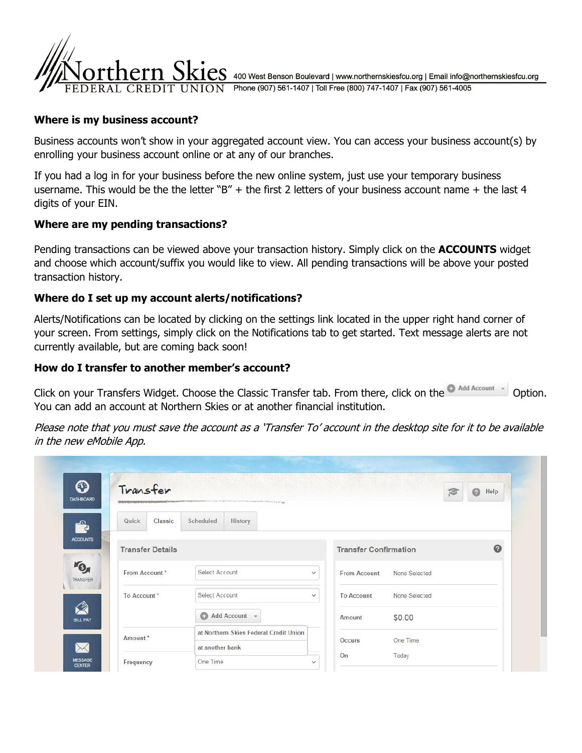

 $\mathop{\mathrm{eS}}$  400 West Benson Boulevard | www.northernskiesfcu.org | Email info@northernskiesfcu.org UNION Phone (907) 561-1407 | Toll Free (800) 747-1407 | Fax (907) 561-4005

#### **Where is my business account?**

Business accounts won't show in your aggregated account view. You can access your business account(s) by enrolling your business account online or at any of our branches.

If you had a log in for your business before the new online system, just use your temporary business username. This would be the the letter "B" + the first 2 letters of your business account name + the last 4 digits of your EIN.

#### **Where are my pending transactions?**

Pending transactions can be viewed above your transaction history. Simply click on the **ACCOUNTS** widget and choose which account/suffix you would like to view. All pending transactions will be above your posted transaction history.

#### **Where do I set up my account alerts/notifications?**

Alerts/Notifications can be located by clicking on the settings link located in the upper right hand corner of your screen. From settings, simply click on the Notifications tab to get started. Text message alerts are not currently available, but are coming back soon!

#### **How do I transfer to another member's account?**

Click on your Transfers Widget. Choose the Classic Transfer tab. From there, click on the Onadd Account [10] Option. You can add an account at Northern Skies or at another financial institution.

Please note that you must save the account as a 'Transfer To' account in the desktop site for it to be available in the new eMobile App.

| $\boldsymbol{\odot}$<br><b>DASHBOARD</b> | Transfer<br>And additional determination of the contract of the Contract of the Contract of the Contract of the Contract of the Contract of the Contract of the Contract of the Contract of the Contract of the Contract of the Contract o |                                        |                     | $\odot$<br>Help              |  |
|------------------------------------------|--------------------------------------------------------------------------------------------------------------------------------------------------------------------------------------------------------------------------------------------|----------------------------------------|---------------------|------------------------------|--|
| <b>Part</b>                              | Quick<br>Classic                                                                                                                                                                                                                           | Scheduled<br>History                   |                     |                              |  |
|                                          | <b>Transfer Details</b>                                                                                                                                                                                                                    |                                        |                     | <b>Transfer Confirmation</b> |  |
|                                          | From Account*                                                                                                                                                                                                                              | Select Account<br>$\checkmark$         | <b>From Account</b> | None Selected                |  |
| To Account*                              |                                                                                                                                                                                                                                            | Select Account<br>$\checkmark$         | <b>To Account</b>   | None Selected                |  |
|                                          |                                                                                                                                                                                                                                            | <b>C</b> Add Account                   | Amount              | \$0.00                       |  |
|                                          | Amount*                                                                                                                                                                                                                                    | at Northern Skies Federal Credit Union | Occurs              | One Time                     |  |
|                                          |                                                                                                                                                                                                                                            | at another bank                        |                     |                              |  |
|                                          | Frequency                                                                                                                                                                                                                                  | One Time<br>$\checkmark$               | On                  | Today                        |  |